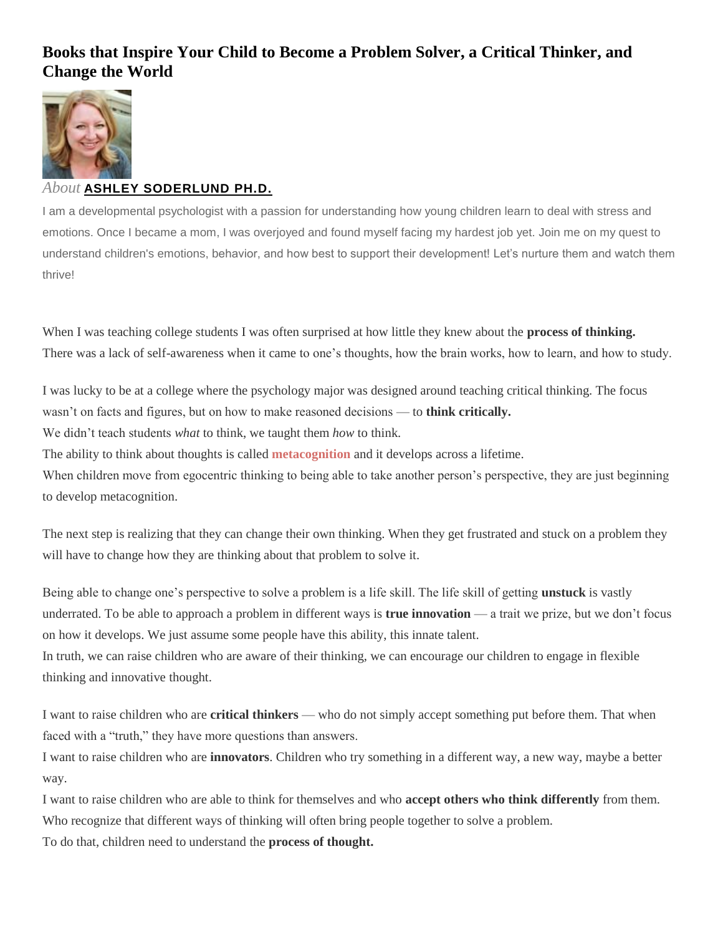# **Books that Inspire Your Child to Become a Problem Solver, a Critical Thinker, and Change the World**



# *About* **[ASHLEY SODERLUND PH.D.](https://nurtureandthriveblog.com/author/nurtureandthriveblog/)**

I am a developmental psychologist with a passion for understanding how young children learn to deal with stress and emotions. Once I became a mom, I was overjoyed and found myself facing my hardest job yet. Join me on my quest to understand children's emotions, behavior, and how best to support their development! Let's nurture them and watch them thrive!

When I was teaching college students I was often surprised at how little they knew about the **process of thinking.** There was a lack of self-awareness when it came to one's thoughts, how the brain works, how to learn, and how to study.

I was lucky to be at a college where the psychology major was designed around teaching critical thinking. The focus wasn't on facts and figures, but on how to make reasoned decisions — to **think critically.**

We didn't teach students *what* to think, we taught them *how* to think.

The ability to think about thoughts is called **[metacognition](https://childmind.org/article/how-metacognition-can-help-kids/)** and it develops across a lifetime.

When children move from egocentric thinking to being able to take another person's perspective, they are just beginning to develop metacognition.

The next step is realizing that they can change their own thinking. When they get frustrated and stuck on a problem they will have to change how they are thinking about that problem to solve it.

Being able to change one's perspective to solve a problem is a life skill. The life skill of getting **unstuck** is vastly underrated. To be able to approach a problem in different ways is **true innovation** — a trait we prize, but we don't focus on how it develops. We just assume some people have this ability, this innate talent.

In truth, we can raise children who are aware of their thinking, we can encourage our children to engage in flexible thinking and innovative thought.

I want to raise children who are **critical thinkers** — who do not simply accept something put before them. That when faced with a "truth," they have more questions than answers.

I want to raise children who are **innovators**. Children who try something in a different way, a new way, maybe a better way.

I want to raise children who are able to think for themselves and who **accept others who think differently** from them. Who recognize that different ways of thinking will often bring people together to solve a problem.

To do that, children need to understand the **process of thought.**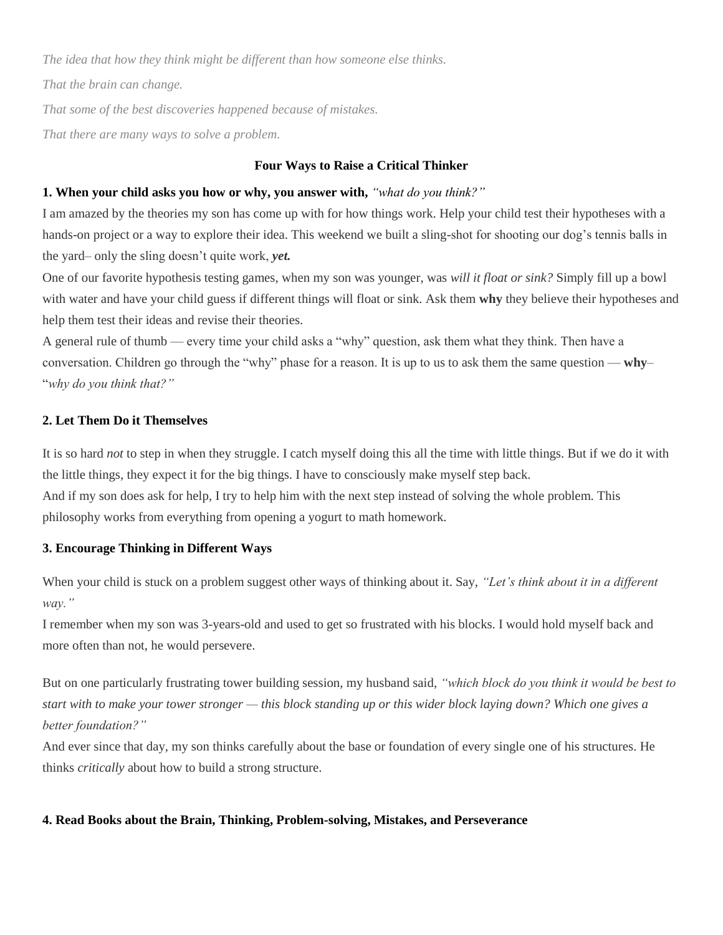*The idea that how they think might be different than how someone else thinks.*

*That the brain can change.*

*That some of the best discoveries happened because of mistakes.*

*That there are many ways to solve a problem.*

# **Four Ways to Raise a Critical Thinker**

## **1. When your child asks you how or why, you answer with,** *"what do you think?"*

I am amazed by the theories my son has come up with for how things work. Help your child test their hypotheses with a hands-on project or a way to explore their idea. This weekend we built a sling-shot for shooting our dog's tennis balls in the yard– only the sling doesn't quite work, *yet.*

One of our favorite hypothesis testing games, when my son was younger, was *will it float or sink?* Simply fill up a bowl with water and have your child guess if different things will float or sink. Ask them **why** they believe their hypotheses and help them test their ideas and revise their theories.

A general rule of thumb — every time your child asks a "why" question, ask them what they think. Then have a conversation. Children go through the "why" phase for a reason. It is up to us to ask them the same question — **why**– "*why do you think that?"*

# **2. Let Them Do it Themselves**

It is so hard *not* to step in when they struggle. I catch myself doing this all the time with little things. But if we do it with the little things, they expect it for the big things. I have to consciously make myself step back.

And if my son does ask for help, I try to help him with the next step instead of solving the whole problem. This philosophy works from everything from opening a yogurt to math homework.

## **3. Encourage Thinking in Different Ways**

When your child is stuck on a problem suggest other ways of thinking about it. Say, *"Let's think about it in a different way."*

I remember when my son was 3-years-old and used to get so frustrated with his blocks. I would hold myself back and more often than not, he would persevere.

But on one particularly frustrating tower building session, my husband said, *"which block do you think it would be best to start with to make your tower stronger — this block standing up or this wider block laying down? Which one gives a better foundation?"*

And ever since that day, my son thinks carefully about the base or foundation of every single one of his structures. He thinks *critically* about how to build a strong structure.

## **4. Read Books about the Brain, Thinking, Problem-solving, Mistakes, and Perseverance**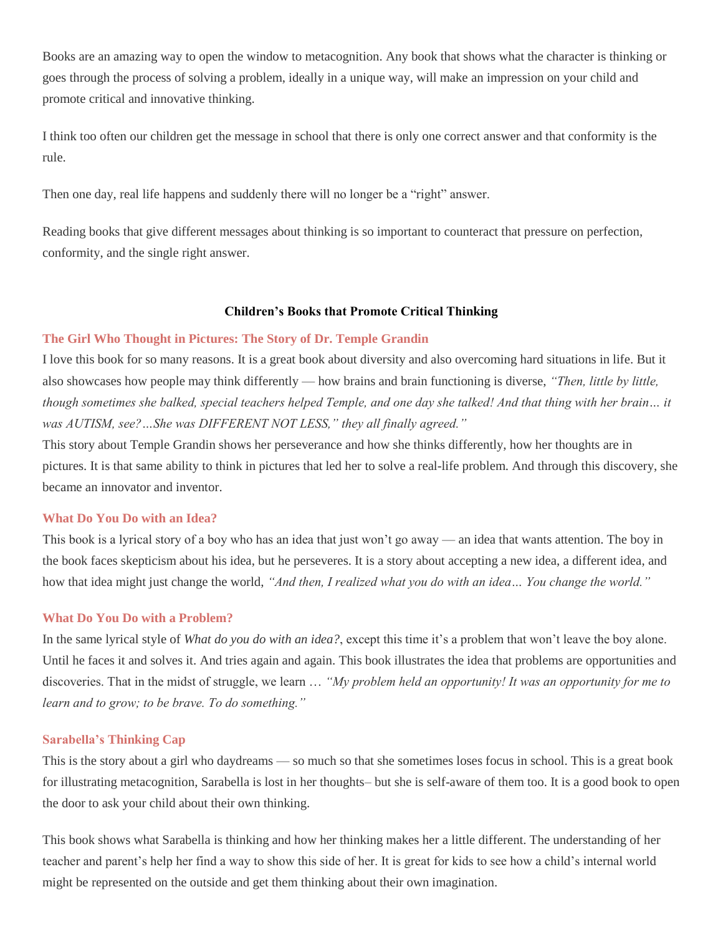Books are an amazing way to open the window to metacognition. Any book that shows what the character is thinking or goes through the process of solving a problem, ideally in a unique way, will make an impression on your child and promote critical and innovative thinking.

I think too often our children get the message in school that there is only one correct answer and that conformity is the rule.

Then one day, real life happens and suddenly there will no longer be a "right" answer.

Reading books that give different messages about thinking is so important to counteract that pressure on perfection, conformity, and the single right answer.

# **Children's Books that Promote Critical Thinking**

# **[The Girl Who Thought in Pictures:](http://amzn.to/2Fiix3V) The Story of Dr. Temple Grandin**

I love this book for so many reasons. It is a great book about diversity and also overcoming hard situations in life. But it also showcases how people may think differently — how brains and brain functioning is diverse, *"Then, little by little, though sometimes she balked, special teachers helped Temple, and one day she talked! And that thing with her brain… it was AUTISM, see?…She was DIFFERENT NOT LESS," they all finally agreed."*

This story about Temple Grandin shows her perseverance and how she thinks differently, how her thoughts are in pictures. It is that same ability to think in pictures that led her to solve a real-life problem. And through this discovery, she became an innovator and inventor.

## **[What Do You Do with an Idea?](http://amzn.to/2FVuE8u)**

This book is a lyrical story of a boy who has an idea that just won't go away — an idea that wants attention. The boy in the book faces skepticism about his idea, but he perseveres. It is a story about accepting a new idea, a different idea, and how that idea might just change the world, *"And then, I realized what you do with an idea… You change the world."*

## **[What Do You Do with a Problem?](http://amzn.to/2oKc4sj)**

In the same lyrical style of *What do you do with an idea?*, except this time it's a problem that won't leave the boy alone. Until he faces it and solves it. And tries again and again. This book illustrates the idea that problems are opportunities and discoveries. That in the midst of struggle, we learn … *"My problem held an opportunity! It was an opportunity for me to learn and to grow; to be brave. To do something."*

## **Sarabella's [Thinking Cap](http://amzn.to/2oIUsgn)**

This is the story about a girl who daydreams — so much so that she sometimes loses focus in school. This is a great book for illustrating metacognition, Sarabella is lost in her thoughts– but she is self-aware of them too. It is a good book to open the door to ask your child about their own thinking.

This book shows what Sarabella is thinking and how her thinking makes her a little different. The understanding of her teacher and parent's help her find a way to show this side of her. It is great for kids to see how a child's internal world might be represented on the outside and get them thinking about their own imagination.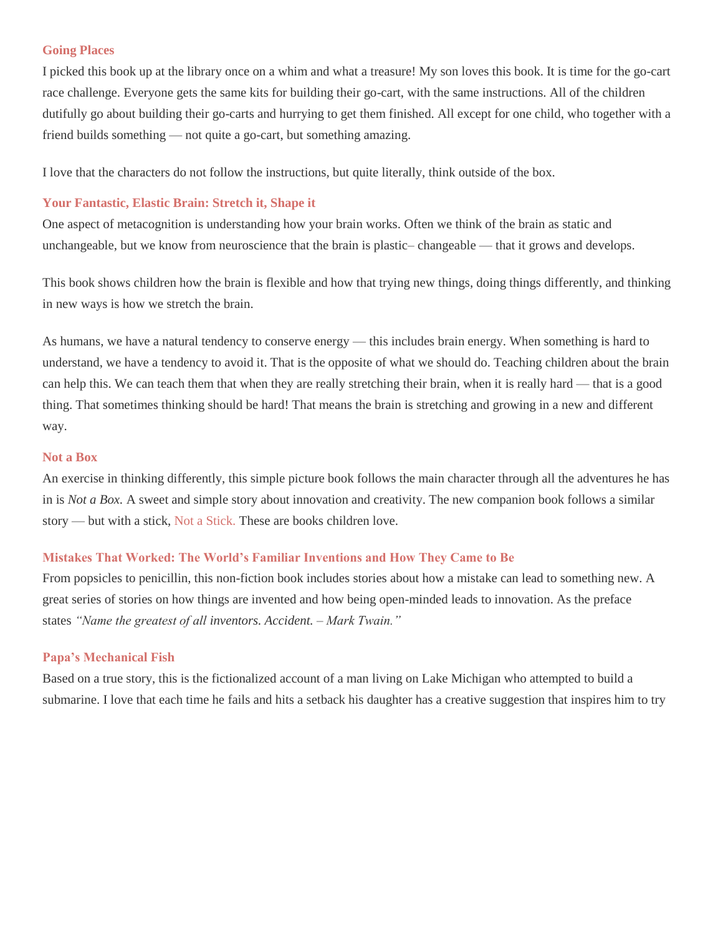#### **[Going Places](http://amzn.to/2oJo3X9)**

I picked this book up at the library once on a whim and what a treasure! My son loves this book. It is time for the go-cart race challenge. Everyone gets the same kits for building their go-cart, with the same instructions. All of the children dutifully go about building their go-carts and hurrying to get them finished. All except for one child, who together with a friend builds something — not quite a go-cart, but something amazing.

I love that the characters do not follow the instructions, but quite literally, think outside of the box.

#### **[Your Fantastic, Elastic Brain: Stretch it, Shape it](http://amzn.to/2tidSxr)**

One aspect of metacognition is understanding how your brain works. Often we think of the brain as static and unchangeable, but we know from neuroscience that the brain is plastic– changeable — that it grows and develops.

This book shows children how the brain is flexible and how that trying new things, doing things differently, and thinking in new ways is how we stretch the brain.

As humans, we have a natural tendency to conserve energy — this includes brain energy. When something is hard to understand, we have a tendency to avoid it. That is the opposite of what we should do. Teaching children about the brain can help this. We can teach them that when they are really stretching their brain, when it is really hard — that is a good thing. That sometimes thinking should be hard! That means the brain is stretching and growing in a new and different way.

#### **[Not a Box](http://amzn.to/2tgcWtv)**

An exercise in thinking differently, this simple picture book follows the main character through all the adventures he has in is *Not a Box.* A sweet and simple story about innovation and creativity. The new companion book follows a similar story — but with a stick, [Not a Stick.](http://amzn.to/2D2dpyV) These are books children love.

#### **[Mistakes That Worked: The World's Familiar Inventions and How They Came to Be](http://amzn.to/2FdHPnT)**

From popsicles to penicillin, this non-fiction book includes stories about how a mistake can lead to something new. A great series of stories on how things are invented and how being open-minded leads to innovation. As the preface states *"Name the greatest of all inventors. Accident. – Mark Twain."*

#### **[Papa's Mechanical Fish](http://amzn.to/2oJlynS)**

Based on a true story, this is the fictionalized account of a man living on Lake Michigan who attempted to build a submarine. I love that each time he fails and hits a setback his daughter has a creative suggestion that inspires him to try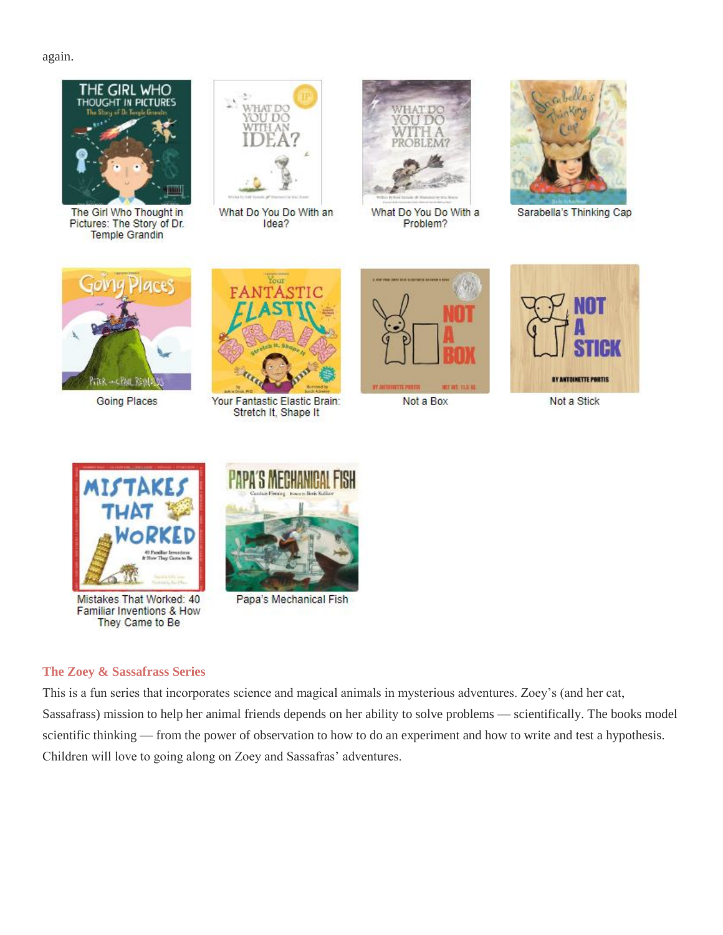again.



The Girl Who Thought in Pictures: The Story of Dr. **Temple Grandin** 



What Do You Do With an Idea?



What Do You Do With a Problem?



Sarabella's Thinking Cap



**Going Places** 



Your Fantastic Elastic Brain: Stretch It, Shape It



Not a Box





Mistakes That Worked: 40 Familiar Inventions & How They Came to Be



Papa's Mechanical Fish

# **[The Zoey & Sassafrass Series](http://amzn.to/2tgd1xv)**

This is a fun series that incorporates science and magical animals in mysterious adventures. Zoey's (and her cat, Sassafrass) mission to help her animal friends depends on her ability to solve problems — scientifically. The books model scientific thinking — from the power of observation to how to do an experiment and how to write and test a hypothesis. Children will love to going along on Zoey and Sassafras' adventures.